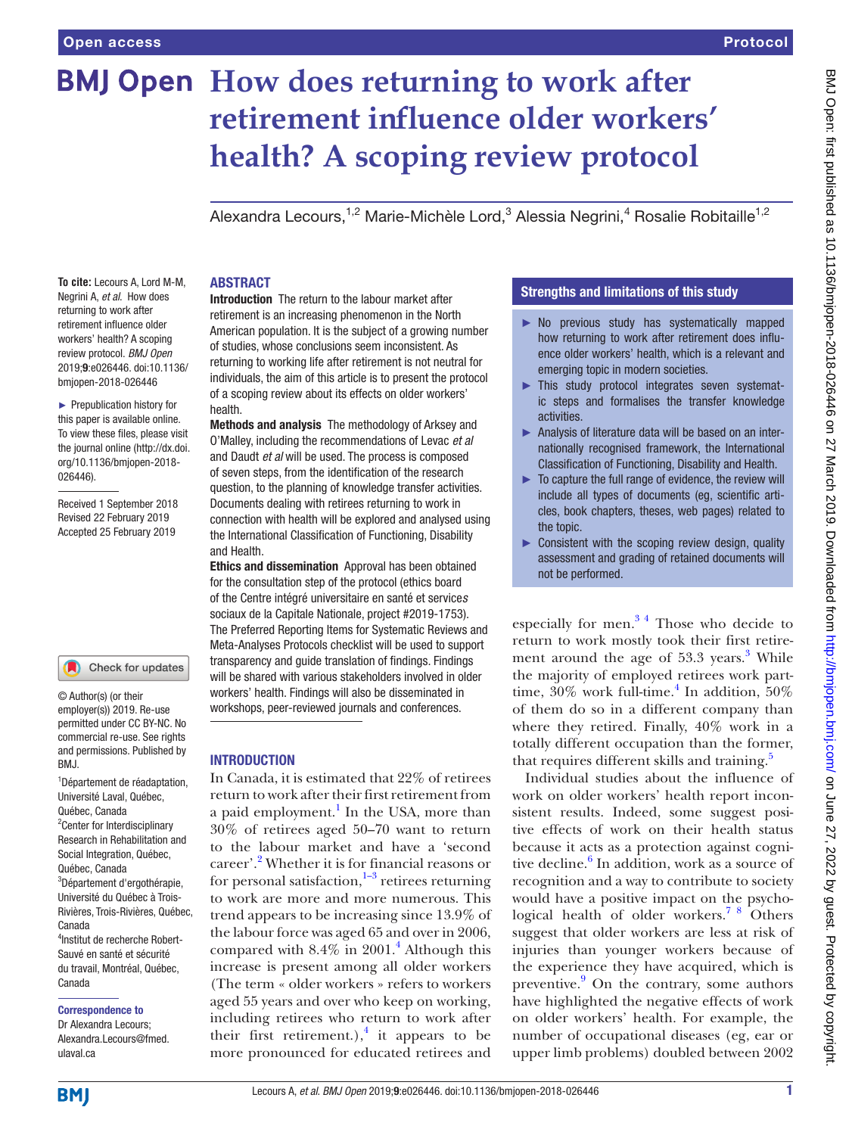# **BMJ Open** How does returning to work after **retirement influence older workers' health? A scoping review protocol**

Alexandra Lecours,<sup>1,2</sup> Marie-Michèle Lord,<sup>3</sup> Alessia Negrini,<sup>4</sup> Rosalie Robitaille<sup>1,2</sup>

#### **To cite:** Lecours A, Lord M-M, Negrini A, *et al*. How does returning to work after retirement influence older workers' health? A scoping review protocol. *BMJ Open* 2019;9:e026446. doi:10.1136/ bmjopen-2018-026446

► Prepublication history for this paper is available online. To view these files, please visit the journal online [\(http://dx.doi.](http://dx.doi.org/10.1136/bmjopen-2018-026446) [org/10.1136/bmjopen-2018-](http://dx.doi.org/10.1136/bmjopen-2018-026446) [026446\)](http://dx.doi.org/10.1136/bmjopen-2018-026446).

Received 1 September 2018 Revised 22 February 2019 Accepted 25 February 2019

## Check for updates

© Author(s) (or their employer(s)) 2019. Re-use permitted under CC BY-NC. No commercial re-use. See rights and permissions. Published by BMJ.

1 Département de réadaptation, Université Laval, Québec, Québec, Canada <sup>2</sup> Center for Interdisciplinary Research in Rehabilitation and Social Integration, Québec, Québec, Canada 3 Département d'ergothérapie, Université du Québec à Trois-Rivières, Trois-Rivières, Québec, Canada 4 Institut de recherche Robert-Sauvé en santé et sécurité du travail, Montréal, Québec, Canada

#### Correspondence to

Dr Alexandra Lecours; Alexandra.Lecours@fmed. ulaval.ca

#### **ABSTRACT**

Introduction The return to the labour market after retirement is an increasing phenomenon in the North American population. It is the subject of a growing number of studies, whose conclusions seem inconsistent. As returning to working life after retirement is not neutral for individuals, the aim of this article is to present the protocol of a scoping review about its effects on older workers' health.

Methods and analysis The methodology of Arksey and O'Malley, including the recommendations of Levac *et al* and Daudt *et al* will be used. The process is composed of seven steps, from the identification of the research question, to the planning of knowledge transfer activities. Documents dealing with retirees returning to work in connection with health will be explored and analysed using the International Classification of Functioning, Disability and Health.

Ethics and dissemination Approval has been obtained for the consultation step of the protocol (ethics board of the Centre intégré universitaire en santé et service*s* sociaux de la Capitale Nationale, project #2019-1753). The Preferred Reporting Items for Systematic Reviews and Meta-Analyses Protocols checklist will be used to support transparency and guide translation of findings. Findings will be shared with various stakeholders involved in older workers' health. Findings will also be disseminated in workshops, peer-reviewed journals and conferences.

#### **INTRODUCTION**

In Canada, it is estimated that 22% of retirees return to work after their first retirement from a paid employment.<sup>[1](#page-3-0)</sup> In the USA, more than 30% of retirees aged 50–70 want to return to the labour market and have a 'second career'.<sup>[2](#page-3-1)</sup> Whether it is for financial reasons or for personal satisfaction, $1-3$  retirees returning to work are more and more numerous. This trend appears to be increasing since 13.9% of the labour force was aged 65 and over in 2006, compared with  $8.4\%$  $8.4\%$  $8.4\%$  in  $2001.<sup>4</sup>$  Although this increase is present among all older workers (The term « older workers » refers to workers aged 55 years and over who keep on working, including retirees who return to work after their first retirement.), $\frac{4}{1}$  it appears to be more pronounced for educated retirees and

# Strengths and limitations of this study

- ► No previous study has systematically mapped how returning to work after retirement does influence older workers' health, which is a relevant and emerging topic in modern societies.
- ► This study protocol integrates seven systematic steps and formalises the transfer knowledge activities.
- ► Analysis of literature data will be based on an internationally recognised framework, the International Classification of Functioning, Disability and Health.
- ► To capture the full range of evidence, the review will include all types of documents (eg, scientific articles, book chapters, theses, web pages) related to the topic.
- $\triangleright$  Consistent with the scoping review design, quality assessment and grading of retained documents will not be performed.

especially for men. $3<sup>4</sup>$  Those who decide to return to work mostly took their first retire-ment around the age of 53[.3](#page-3-2) years.<sup>3</sup> While the majority of employed retirees work parttime,  $30\%$  work full-time.<sup>[4](#page-4-0)</sup> In addition,  $50\%$ of them do so in a different company than where they retired. Finally, 40% work in a totally different occupation than the former, that requires different skills and training.<sup>[5](#page-4-1)</sup>

Individual studies about the influence of work on older workers' health report inconsistent results. Indeed, some suggest positive effects of work on their health status because it acts as a protection against cogni-tive decline.<sup>[6](#page-4-2)</sup> In addition, work as a source of recognition and a way to contribute to society would have a positive impact on the psychological health of older workers.[7 8](#page-4-3) Others suggest that older workers are less at risk of injuries than younger workers because of the experience they have acquired, which is preventive.<sup>9</sup> On the contrary, some authors have highlighted the negative effects of work on older workers' health. For example, the number of occupational diseases (eg, ear or upper limb problems) doubled between 2002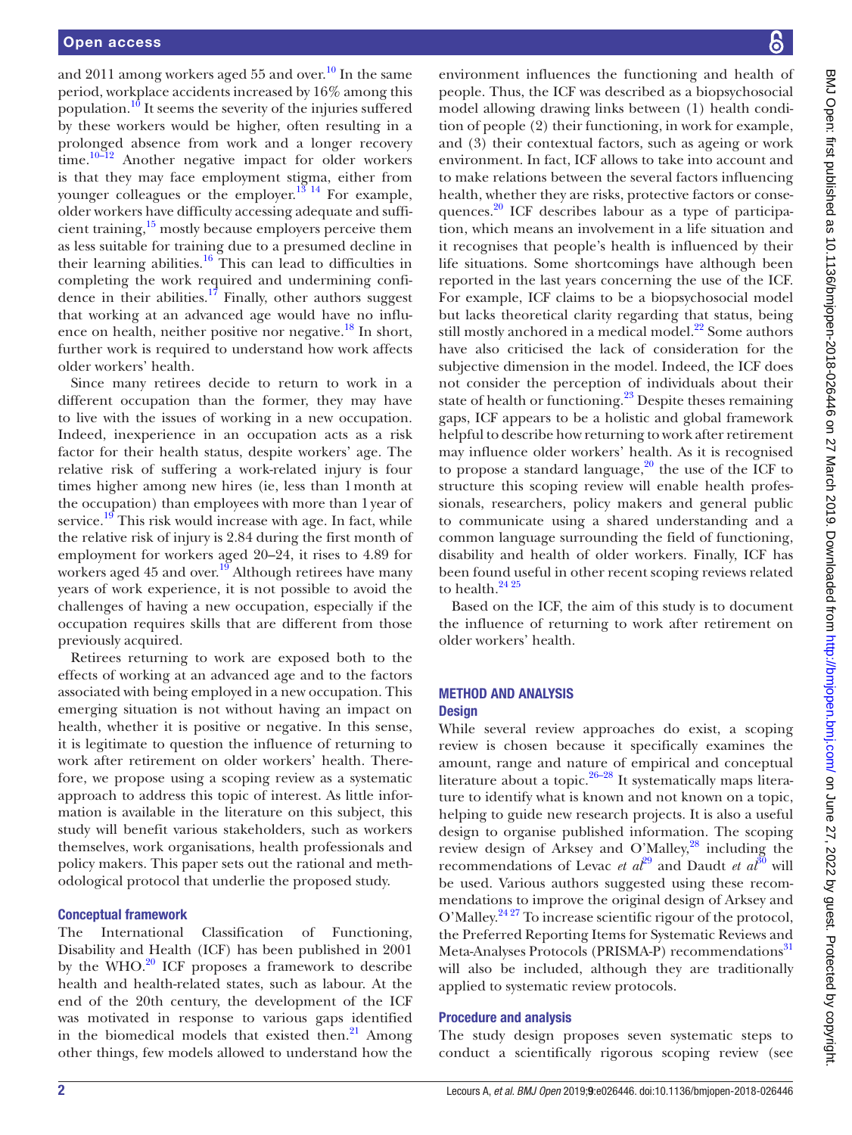and 2011 among workers aged 55 and over.<sup>10</sup> In the same period, workplace accidents increased by 16% among this population.[10](#page-4-5) It seems the severity of the injuries suffered by these workers would be higher, often resulting in a prolonged absence from work and a longer recovery time.<sup>10–12</sup> Another negative impact for older workers is that they may face employment stigma, either from younger colleagues or the employer.<sup>[13 14](#page-4-6)</sup> For example, older workers have difficulty accessing adequate and sufficient training, $15 \text{ mostly because employers perceive them}$  $15 \text{ mostly because employers perceive them}$ as less suitable for training due to a presumed decline in their learning abilities.[16](#page-4-8) This can lead to difficulties in completing the work required and undermining confidence in their abilities.<sup>17</sup> Finally, other authors suggest that working at an advanced age would have no influence on health, neither positive nor negative.<sup>18</sup> In short, further work is required to understand how work affects older workers' health.

Since many retirees decide to return to work in a different occupation than the former, they may have to live with the issues of working in a new occupation. Indeed, inexperience in an occupation acts as a risk factor for their health status, despite workers' age. The relative risk of suffering a work-related injury is four times higher among new hires (ie, less than 1month at the occupation) than employees with more than 1year of service. $19$  This risk would increase with age. In fact, while the relative risk of injury is 2.84 during the first month of employment for workers aged 20–24, it rises to 4.89 for workers aged 45 and over.<sup>19</sup> Although retirees have many years of work experience, it is not possible to avoid the challenges of having a new occupation, especially if the occupation requires skills that are different from those previously acquired.

Retirees returning to work are exposed both to the effects of working at an advanced age and to the factors associated with being employed in a new occupation. This emerging situation is not without having an impact on health, whether it is positive or negative. In this sense, it is legitimate to question the influence of returning to work after retirement on older workers' health. Therefore, we propose using a scoping review as a systematic approach to address this topic of interest. As little information is available in the literature on this subject, this study will benefit various stakeholders, such as workers themselves, work organisations, health professionals and policy makers. This paper sets out the rational and methodological protocol that underlie the proposed study.

#### Conceptual framework

The International Classification of Functioning, Disability and Health (ICF) has been published in 2001 by the WHO. $^{20}$  ICF proposes a framework to describe health and health-related states, such as labour. At the end of the 20th century, the development of the ICF was motivated in response to various gaps identified in the biomedical models that existed then. $^{21}$  Among other things, few models allowed to understand how the

environment influences the functioning and health of people. Thus, the ICF was described as a biopsychosocial model allowing drawing links between (1) health condition of people (2) their functioning, in work for example, and (3) their contextual factors, such as ageing or work environment. In fact, ICF allows to take into account and to make relations between the several factors influencing health, whether they are risks, protective factors or consequences[.20](#page-4-12) ICF describes labour as a type of participation, which means an involvement in a life situation and it recognises that people's health is influenced by their life situations. Some shortcomings have although been reported in the last years concerning the use of the ICF. For example, ICF claims to be a biopsychosocial model but lacks theoretical clarity regarding that status, being still mostly anchored in a medical model.<sup>22</sup> Some authors have also criticised the lack of consideration for the subjective dimension in the model. Indeed, the ICF does not consider the perception of individuals about their state of health or functioning.<sup>23</sup> Despite theses remaining gaps, ICF appears to be a holistic and global framework helpful to describe how returning to work after retirement may influence older workers' health. As it is recognised to propose a standard language, $2^0$  the use of the ICF to structure this scoping review will enable health professionals, researchers, policy makers and general public to communicate using a shared understanding and a common language surrounding the field of functioning, disability and health of older workers. Finally, ICF has been found useful in other recent scoping reviews related to health. $24\frac{25}{1}$ 

Based on the ICF, the aim of this study is to document the influence of returning to work after retirement on older workers' health.

#### Method and analysis **Design**

While several review approaches do exist, a scoping review is chosen because it specifically examines the amount, range and nature of empirical and conceptual literature about a topic.<sup>26–28</sup> It systematically maps literature to identify what is known and not known on a topic, helping to guide new research projects. It is also a useful design to organise published information. The scoping review design of Arksey and O'Malley, $^{28}$  including the recommendations of Levac *et al*<sup>[29](#page-4-19)</sup> and Daudt *et al*<sup>[30](#page-4-20)</sup> will be used. Various authors suggested using these recommendations to improve the original design of Arksey and O'Malley.[24 27](#page-4-16) To increase scientific rigour of the protocol, the Preferred Reporting Items for Systematic Reviews and Meta-Analyses Protocols (PRISMA-P) recommendations<sup>[31](#page-4-21)</sup> will also be included, although they are traditionally applied to systematic review protocols.

#### Procedure and analysis

The study design proposes seven systematic steps to conduct a scientifically rigorous scoping review (see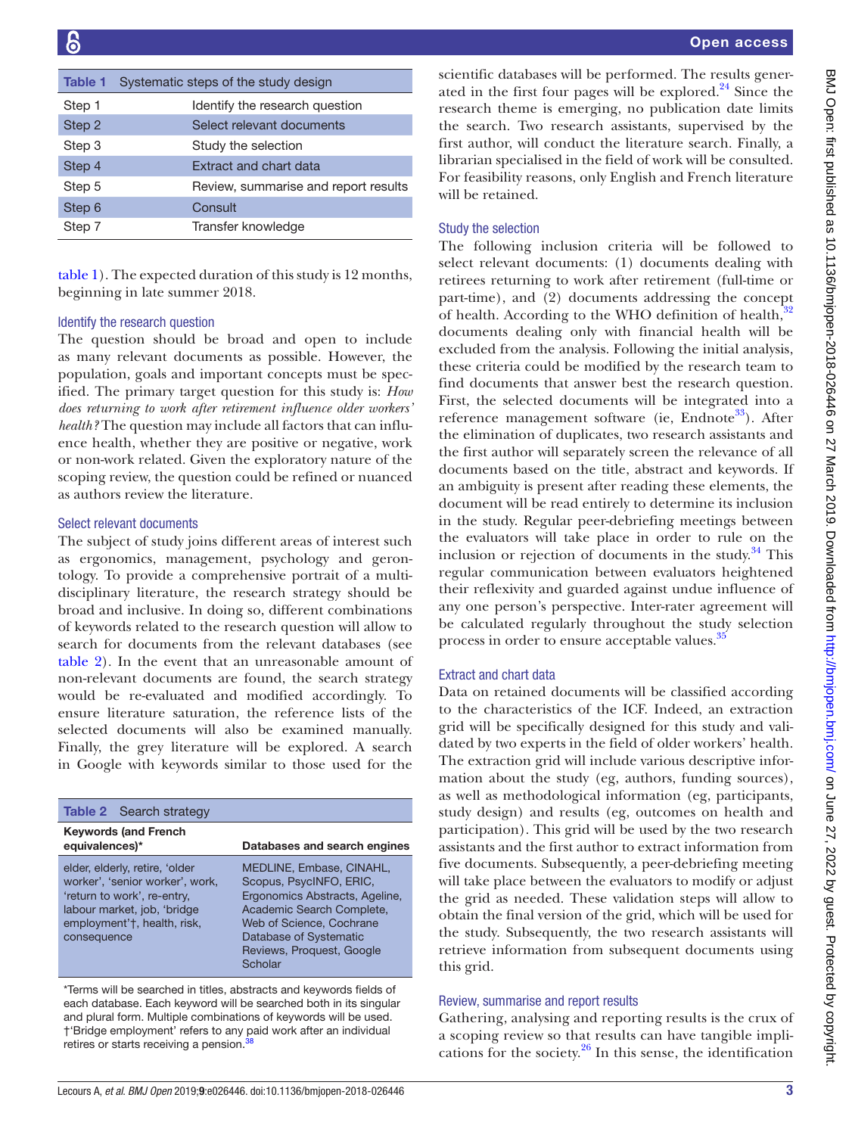<span id="page-2-0"></span>

| Table 1 | Systematic steps of the study design |  |
|---------|--------------------------------------|--|
| Step 1  | Identify the research question       |  |
| Step 2  | Select relevant documents            |  |
| Step 3  | Study the selection                  |  |
| Step 4  | Extract and chart data               |  |
| Step 5  | Review, summarise and report results |  |
| Step 6  | Consult                              |  |
| Step 7  | Transfer knowledge                   |  |

[table](#page-2-0) 1). The expected duration of this study is 12 months, beginning in late summer 2018.

#### Identify the research question

The question should be broad and open to include as many relevant documents as possible. However, the population, goals and important concepts must be specified. The primary target question for this study is: *How does returning to work after retirement influence older workers' health?* The question may include all factors that can influence health, whether they are positive or negative, work or non-work related. Given the exploratory nature of the scoping review, the question could be refined or nuanced as authors review the literature.

# Select relevant documents

The subject of study joins different areas of interest such as ergonomics, management, psychology and gerontology. To provide a comprehensive portrait of a multidisciplinary literature, the research strategy should be broad and inclusive. In doing so, different combinations of keywords related to the research question will allow to search for documents from the relevant databases (see [table](#page-2-1) 2). In the event that an unreasonable amount of non-relevant documents are found, the search strategy would be re-evaluated and modified accordingly. To ensure literature saturation, the reference lists of the selected documents will also be examined manually. Finally, the grey literature will be explored. A search in Google with keywords similar to those used for the

<span id="page-2-1"></span>

| <b>Table 2</b> Search strategy                                                                                                                                                |                                                                                                                                                                                                                  |
|-------------------------------------------------------------------------------------------------------------------------------------------------------------------------------|------------------------------------------------------------------------------------------------------------------------------------------------------------------------------------------------------------------|
| <b>Keywords (and French</b><br>equivalences)*                                                                                                                                 | Databases and search engines                                                                                                                                                                                     |
| elder, elderly, retire, 'older<br>worker', 'senior worker', work,<br>'return to work', re-entry,<br>labour market, job, 'bridge<br>employment'†, health, risk,<br>consequence | MEDLINE, Embase, CINAHL,<br>Scopus, PsycINFO, ERIC,<br>Ergonomics Abstracts, Ageline,<br>Academic Search Complete,<br>Web of Science, Cochrane<br>Database of Systematic<br>Reviews, Proquest, Google<br>Scholar |

\*Terms will be searched in titles, abstracts and keywords fields of each database. Each keyword will be searched both in its singular and plural form. Multiple combinations of keywords will be used. †'Bridge employment' refers to any paid work after an individual retires or starts receiving a pension.

scientific databases will be performed. The results generated in the first four pages will be explored. $24$  Since the research theme is emerging, no publication date limits the search. Two research assistants, supervised by the first author, will conduct the literature search. Finally, a librarian specialised in the field of work will be consulted. For feasibility reasons, only English and French literature will be retained.

# Study the selection

The following inclusion criteria will be followed to select relevant documents: (1) documents dealing with retirees returning to work after retirement (full-time or part-time), and (2) documents addressing the concept of health. According to the WHO definition of health, $32$ documents dealing only with financial health will be excluded from the analysis. Following the initial analysis, these criteria could be modified by the research team to find documents that answer best the research question. First, the selected documents will be integrated into a reference management software (ie, Endnote<sup>33</sup>). After the elimination of duplicates, two research assistants and the first author will separately screen the relevance of all documents based on the title, abstract and keywords. If an ambiguity is present after reading these elements, the document will be read entirely to determine its inclusion in the study. Regular peer-debriefing meetings between the evaluators will take place in order to rule on the inclusion or rejection of documents in the study. $34$  This regular communication between evaluators heightened their reflexivity and guarded against undue influence of any one person's perspective. Inter-rater agreement will be calculated regularly throughout the study selection process in order to ensure acceptable values.<sup>35</sup>

# Extract and chart data

Data on retained documents will be classified according to the characteristics of the ICF. Indeed, an extraction grid will be specifically designed for this study and validated by two experts in the field of older workers' health. The extraction grid will include various descriptive information about the study (eg, authors, funding sources), as well as methodological information (eg, participants, study design) and results (eg, outcomes on health and participation). This grid will be used by the two research assistants and the first author to extract information from five documents. Subsequently, a peer-debriefing meeting will take place between the evaluators to modify or adjust the grid as needed. These validation steps will allow to obtain the final version of the grid, which will be used for the study. Subsequently, the two research assistants will retrieve information from subsequent documents using this grid.

# Review, summarise and report results

Gathering, analysing and reporting results is the crux of a scoping review so that results can have tangible implications for the society. $26$  In this sense, the identification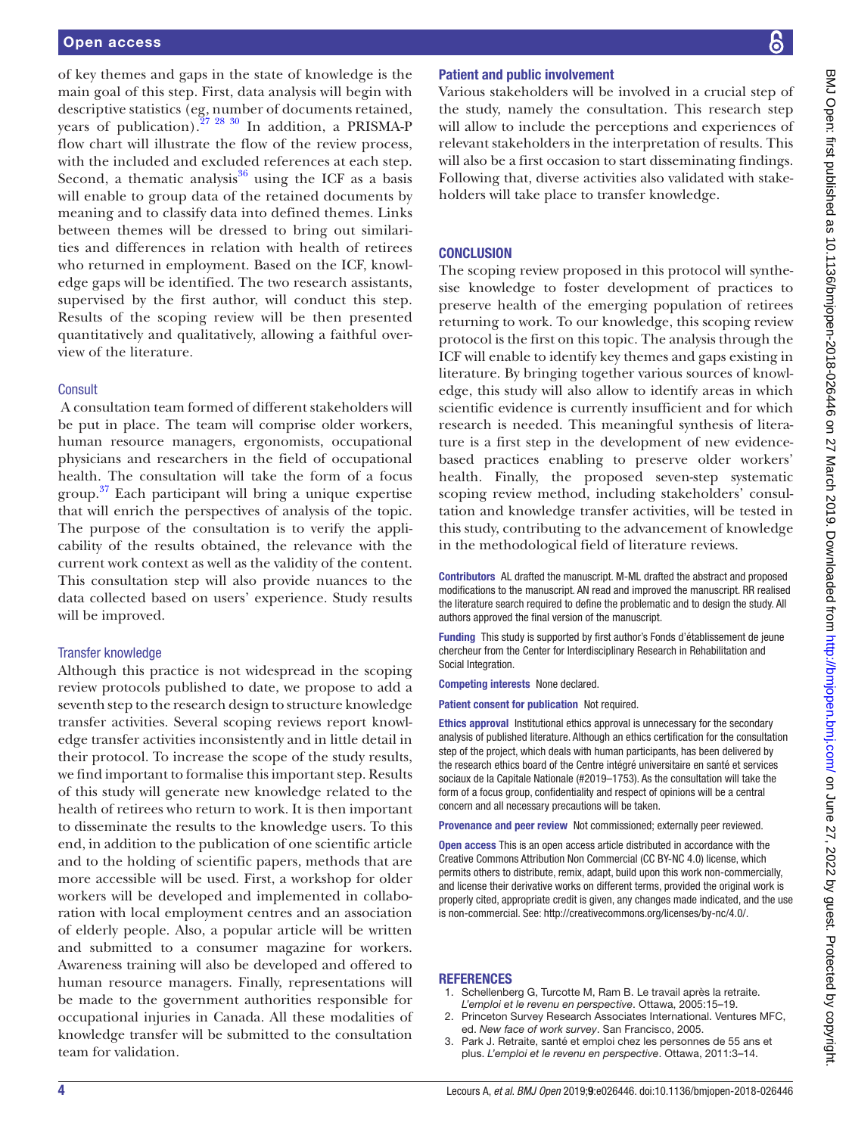of key themes and gaps in the state of knowledge is the main goal of this step. First, data analysis will begin with descriptive statistics (eg, number of documents retained, years of publication).<sup>27</sup> <sup>28</sup> <sup>30</sup> In addition, a PRISMA-P flow chart will illustrate the flow of the review process, with the included and excluded references at each step. Second, a thematic analysis $36$  using the ICF as a basis will enable to group data of the retained documents by meaning and to classify data into defined themes. Links between themes will be dressed to bring out similarities and differences in relation with health of retirees who returned in employment. Based on the ICF, knowledge gaps will be identified. The two research assistants, supervised by the first author, will conduct this step. Results of the scoping review will be then presented quantitatively and qualitatively, allowing a faithful overview of the literature.

#### **Consult**

A consultation team formed of different stakeholders will be put in place. The team will comprise older workers, human resource managers, ergonomists, occupational physicians and researchers in the field of occupational health. The consultation will take the form of a focus group. [37](#page-4-29) Each participant will bring a unique expertise that will enrich the perspectives of analysis of the topic. The purpose of the consultation is to verify the applicability of the results obtained, the relevance with the current work context as well as the validity of the content. This consultation step will also provide nuances to the data collected based on users' experience. Study results will be improved.

#### Transfer knowledge

Although this practice is not widespread in the scoping review protocols published to date, we propose to add a seventh step to the research design to structure knowledge transfer activities. Several scoping reviews report knowledge transfer activities inconsistently and in little detail in their protocol. To increase the scope of the study results, we find important to formalise this important step. Results of this study will generate new knowledge related to the health of retirees who return to work. It is then important to disseminate the results to the knowledge users. To this end, in addition to the publication of one scientific article and to the holding of scientific papers, methods that are more accessible will be used. First, a workshop for older workers will be developed and implemented in collaboration with local employment centres and an association of elderly people. Also, a popular article will be written and submitted to a consumer magazine for workers. Awareness training will also be developed and offered to human resource managers. Finally, representations will be made to the government authorities responsible for occupational injuries in Canada. All these modalities of knowledge transfer will be submitted to the consultation team for validation.

#### Patient and public involvement

Various stakeholders will be involved in a crucial step of the study, namely the consultation. This research step will allow to include the perceptions and experiences of relevant stakeholders in the interpretation of results. This will also be a first occasion to start disseminating findings. Following that, diverse activities also validated with stakeholders will take place to transfer knowledge.

#### **CONCLUSION**

The scoping review proposed in this protocol will synthesise knowledge to foster development of practices to preserve health of the emerging population of retirees returning to work. To our knowledge, this scoping review protocol is the first on this topic. The analysis through the ICF will enable to identify key themes and gaps existing in literature. By bringing together various sources of knowledge, this study will also allow to identify areas in which scientific evidence is currently insufficient and for which research is needed. This meaningful synthesis of literature is a first step in the development of new evidencebased practices enabling to preserve older workers' health. Finally, the proposed seven-step systematic scoping review method, including stakeholders' consultation and knowledge transfer activities, will be tested in this study, contributing to the advancement of knowledge in the methodological field of literature reviews.

Contributors AL drafted the manuscript. M-ML drafted the abstract and proposed modifications to the manuscript. AN read and improved the manuscript. RR realised the literature search required to define the problematic and to design the study. All authors approved the final version of the manuscript.

Funding This study is supported by first author's Fonds d'établissement de jeune chercheur from the Center for Interdisciplinary Research in Rehabilitation and Social Integration.

Competing interests None declared.

Patient consent for publication Not required.

Ethics approval Institutional ethics approval is unnecessary for the secondary analysis of published literature. Although an ethics certification for the consultation step of the project, which deals with human participants, has been delivered by the research ethics board of the Centre intégré universitaire en santé et services sociaux de la Capitale Nationale (#2019–1753). As the consultation will take the form of a focus group, confidentiality and respect of opinions will be a central concern and all necessary precautions will be taken.

Provenance and peer review Not commissioned; externally peer reviewed.

Open access This is an open access article distributed in accordance with the Creative Commons Attribution Non Commercial (CC BY-NC 4.0) license, which permits others to distribute, remix, adapt, build upon this work non-commercially, and license their derivative works on different terms, provided the original work is properly cited, appropriate credit is given, any changes made indicated, and the use is non-commercial. See: [http://creativecommons.org/licenses/by-nc/4.0/.](http://creativecommons.org/licenses/by-nc/4.0/)

#### **REFERENCES**

- <span id="page-3-0"></span>1. Schellenberg G, Turcotte M, Ram B. Le travail après la retraite.
- <span id="page-3-1"></span>*L'emploi et le revenu en perspective*. Ottawa, 2005:15–19. 2. Princeton Survey Research Associates International. Ventures MFC, ed. *New face of work survey*. San Francisco, 2005.
- <span id="page-3-2"></span>3. Park J. Retraite, santé et emploi chez les personnes de 55 ans et plus. *L'emploi et le revenu en perspective*. Ottawa, 2011:3–14.